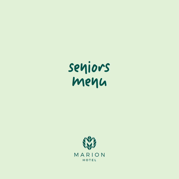